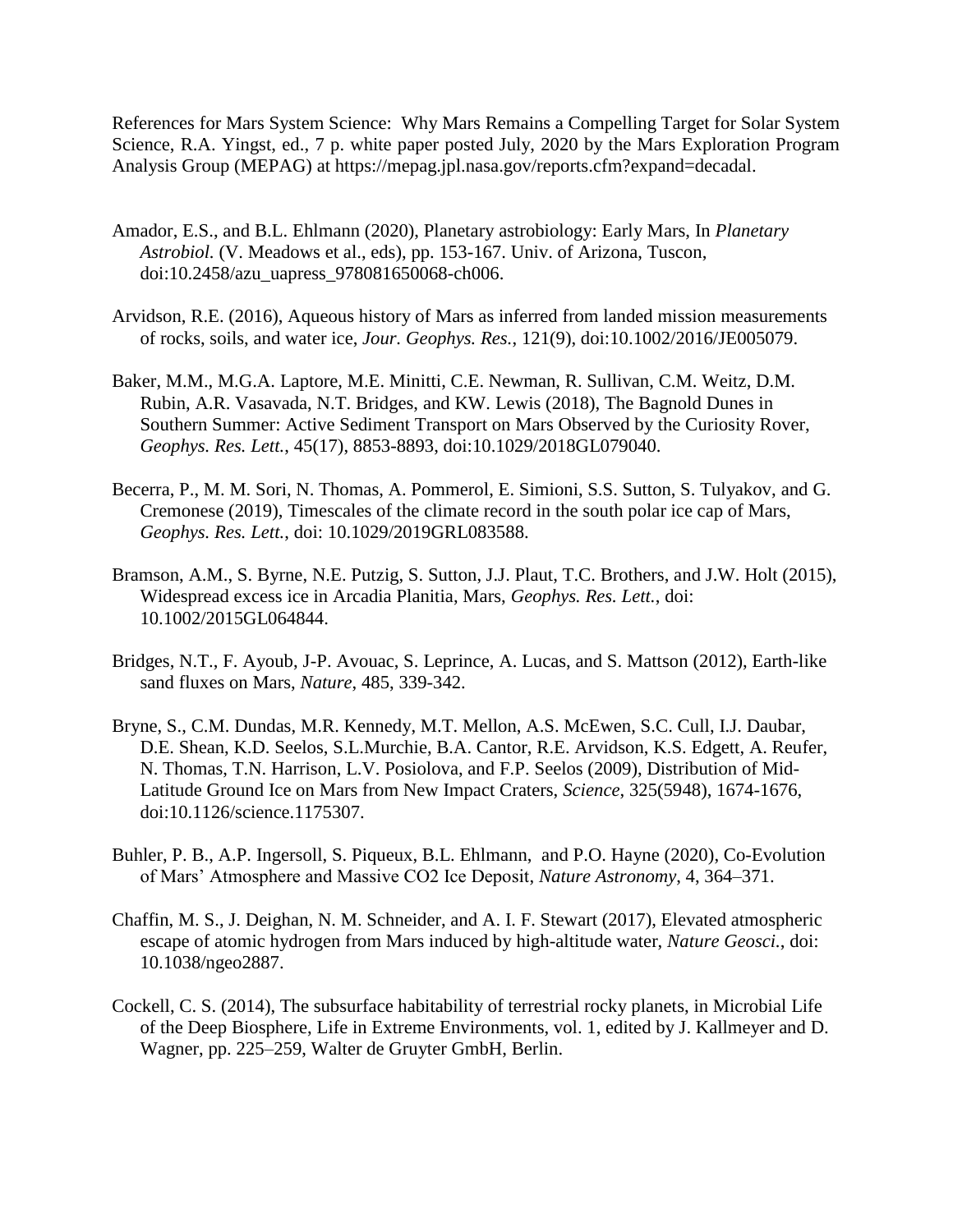References for Mars System Science: Why Mars Remains a Compelling Target for Solar System Science, R.A. Yingst, ed., 7 p. white paper posted July, 2020 by the Mars Exploration Program Analysis Group (MEPAG) at https://mepag.jpl.nasa.gov/reports.cfm?expand=decadal.

- Amador, E.S., and B.L. Ehlmann (2020), Planetary astrobiology: Early Mars, In *Planetary Astrobiol.* (V. Meadows et al., eds), pp. 153-167. Univ. of Arizona, Tuscon, doi:10.2458/azu\_uapress\_978081650068-ch006.
- Arvidson, R.E. (2016), Aqueous history of Mars as inferred from landed mission measurements of rocks, soils, and water ice, *Jour. Geophys. Res.*, 121(9), doi:10.1002/2016/JE005079.
- Baker, M.M., M.G.A. Laptore, M.E. Minitti, C.E. Newman, R. Sullivan, C.M. Weitz, D.M. Rubin, A.R. Vasavada, N.T. Bridges, and KW. Lewis (2018), The Bagnold Dunes in Southern Summer: Active Sediment Transport on Mars Observed by the Curiosity Rover, *Geophys. Res. Lett.*, 45(17), 8853-8893, doi:10.1029/2018GL079040.
- Becerra, P., M. M. Sori, N. Thomas, A. Pommerol, E. Simioni, S.S. Sutton, S. Tulyakov, and G. Cremonese (2019), Timescales of the climate record in the south polar ice cap of Mars, *Geophys. Res. Lett.*, doi: 10.1029/2019GRL083588.
- Bramson, A.M., S. Byrne, N.E. Putzig, S. Sutton, J.J. Plaut, T.C. Brothers, and J.W. Holt (2015), Widespread excess ice in Arcadia Planitia, Mars, *Geophys. Res. Lett.*, doi: 10.1002/2015GL064844.
- Bridges, N.T., F. Ayoub, J-P. Avouac, S. Leprince, A. Lucas, and S. Mattson (2012), Earth-like sand fluxes on Mars, *Nature*, 485, 339-342.
- Bryne, S., C.M. Dundas, M.R. Kennedy, M.T. Mellon, A.S. McEwen, S.C. Cull, I.J. Daubar, D.E. Shean, K.D. Seelos, S.L.Murchie, B.A. Cantor, R.E. Arvidson, K.S. Edgett, A. Reufer, N. Thomas, T.N. Harrison, L.V. Posiolova, and F.P. Seelos (2009), Distribution of Mid-Latitude Ground Ice on Mars from New Impact Craters, *Science*, 325(5948), 1674-1676, doi:10.1126/science.1175307.
- Buhler, P. B., A.P. Ingersoll, S. Piqueux, B.L. Ehlmann, and P.O. Hayne (2020), Co-Evolution of Mars' Atmosphere and Massive CO2 Ice Deposit, *Nature Astronomy*, 4, 364–371.
- Chaffin, M. S., J. Deighan, N. M. Schneider, and A. I. F. Stewart (2017), Elevated atmospheric escape of atomic hydrogen from Mars induced by high-altitude water, *Nature Geosci.*, doi: 10.1038/ngeo2887.
- Cockell, C. S. (2014), The subsurface habitability of terrestrial rocky planets, in Microbial Life of the Deep Biosphere, Life in Extreme Environments, vol. 1, edited by J. Kallmeyer and D. Wagner, pp. 225–259, Walter de Gruyter GmbH, Berlin.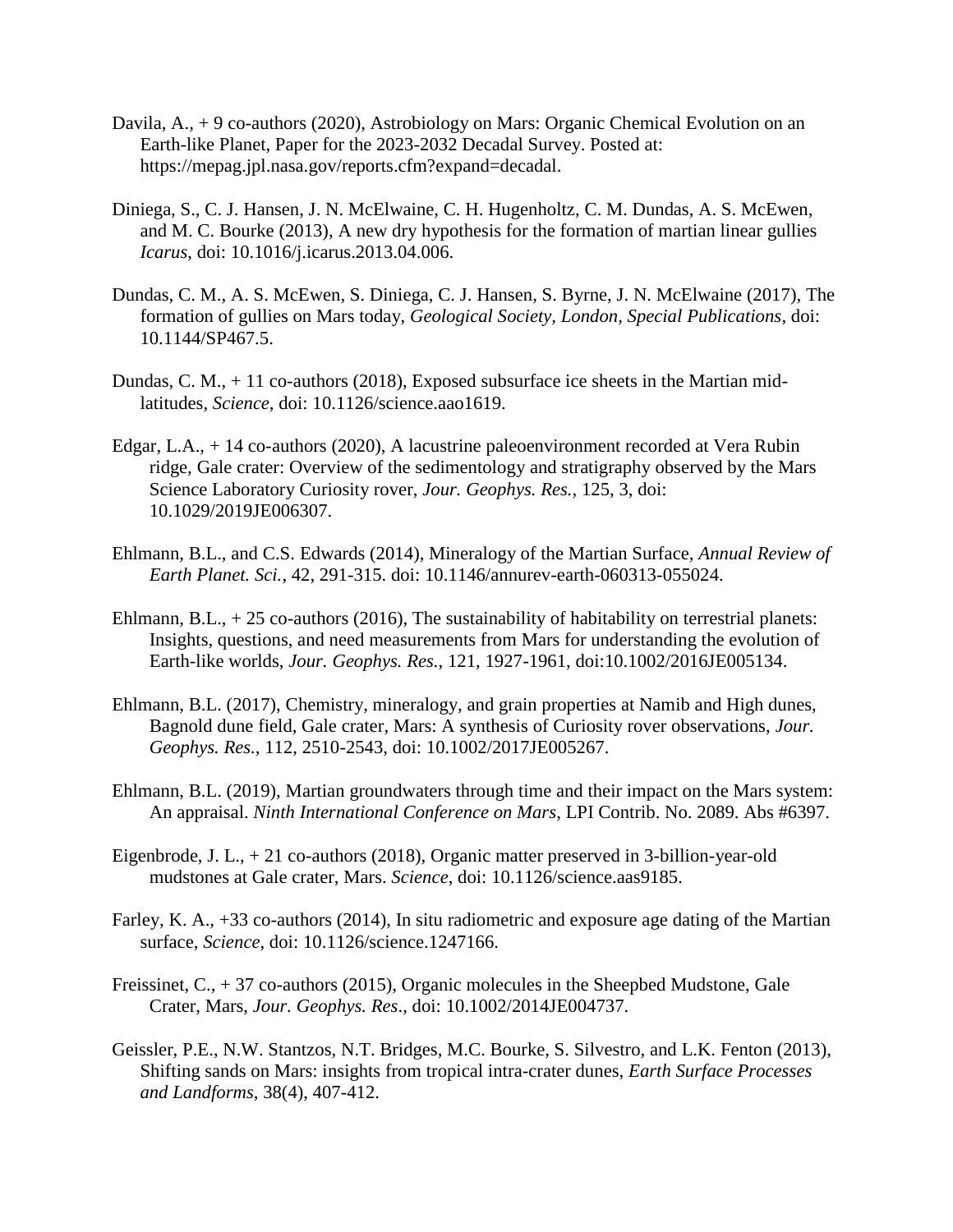- Davila, A., + 9 co-authors (2020), Astrobiology on Mars: Organic Chemical Evolution on an Earth-like Planet, Paper for the 2023-2032 Decadal Survey. Posted at: https://mepag.jpl.nasa.gov/reports.cfm?expand=decadal.
- Diniega, S., C. J. Hansen, J. N. McElwaine, C. H. Hugenholtz, C. M. Dundas, A. S. McEwen, and M. C. Bourke (2013), A new dry hypothesis for the formation of martian linear gullies *Icarus*, doi: 10.1016/j.icarus.2013.04.006.
- Dundas, C. M., A. S. McEwen, S. Diniega, C. J. Hansen, S. Byrne, J. N. McElwaine (2017), The formation of gullies on Mars today, *Geological Society, London, Special Publications*, doi: 10.1144/SP467.5.
- Dundas, C. M., + 11 co-authors (2018), Exposed subsurface ice sheets in the Martian midlatitudes, *Science*, doi: 10.1126/science.aao1619.
- Edgar, L.A., + 14 co-authors (2020), A lacustrine paleoenvironment recorded at Vera Rubin ridge, Gale crater: Overview of the sedimentology and stratigraphy observed by the Mars Science Laboratory Curiosity rover, *Jour. Geophys. Res.,* 125, 3, doi: 10.1029/2019JE006307.
- Ehlmann, B.L., and C.S. Edwards (2014), Mineralogy of the Martian Surface, *Annual Review of Earth Planet. Sci.*, 42, 291-315. doi: 10.1146/annurev-earth-060313-055024.
- Ehlmann, B.L.,  $+25$  co-authors (2016), The sustainability of habitability on terrestrial planets: Insights, questions, and need measurements from Mars for understanding the evolution of Earth-like worlds, *Jour. Geophys. Res.*, 121, 1927-1961, doi:10.1002/2016JE005134.
- Ehlmann, B.L. (2017), Chemistry, mineralogy, and grain properties at Namib and High dunes, Bagnold dune field, Gale crater, Mars: A synthesis of Curiosity rover observations, *Jour. Geophys. Res.,* 112, 2510-2543, doi: 10.1002/2017JE005267.
- Ehlmann, B.L. (2019), Martian groundwaters through time and their impact on the Mars system: An appraisal. *Ninth International Conference on Mars*, LPI Contrib. No. 2089. Abs #6397.
- Eigenbrode, J. L., + 21 co-authors (2018), Organic matter preserved in 3-billion-year-old mudstones at Gale crater, Mars. *Science*, doi: 10.1126/science.aas9185.
- Farley, K. A., +33 co-authors (2014), In situ radiometric and exposure age dating of the Martian surface, *Science*, doi: 10.1126/science.1247166.
- Freissinet, C., + 37 co-authors (2015), Organic molecules in the Sheepbed Mudstone, Gale Crater, Mars, *Jour. Geophys. Res*., doi: 10.1002/2014JE004737.
- Geissler, P.E., N.W. Stantzos, N.T. Bridges, M.C. Bourke, S. Silvestro, and L.K. Fenton (2013), Shifting sands on Mars: insights from tropical intra-crater dunes, *Earth Surface Processes and Landforms,* 38(4), 407-412.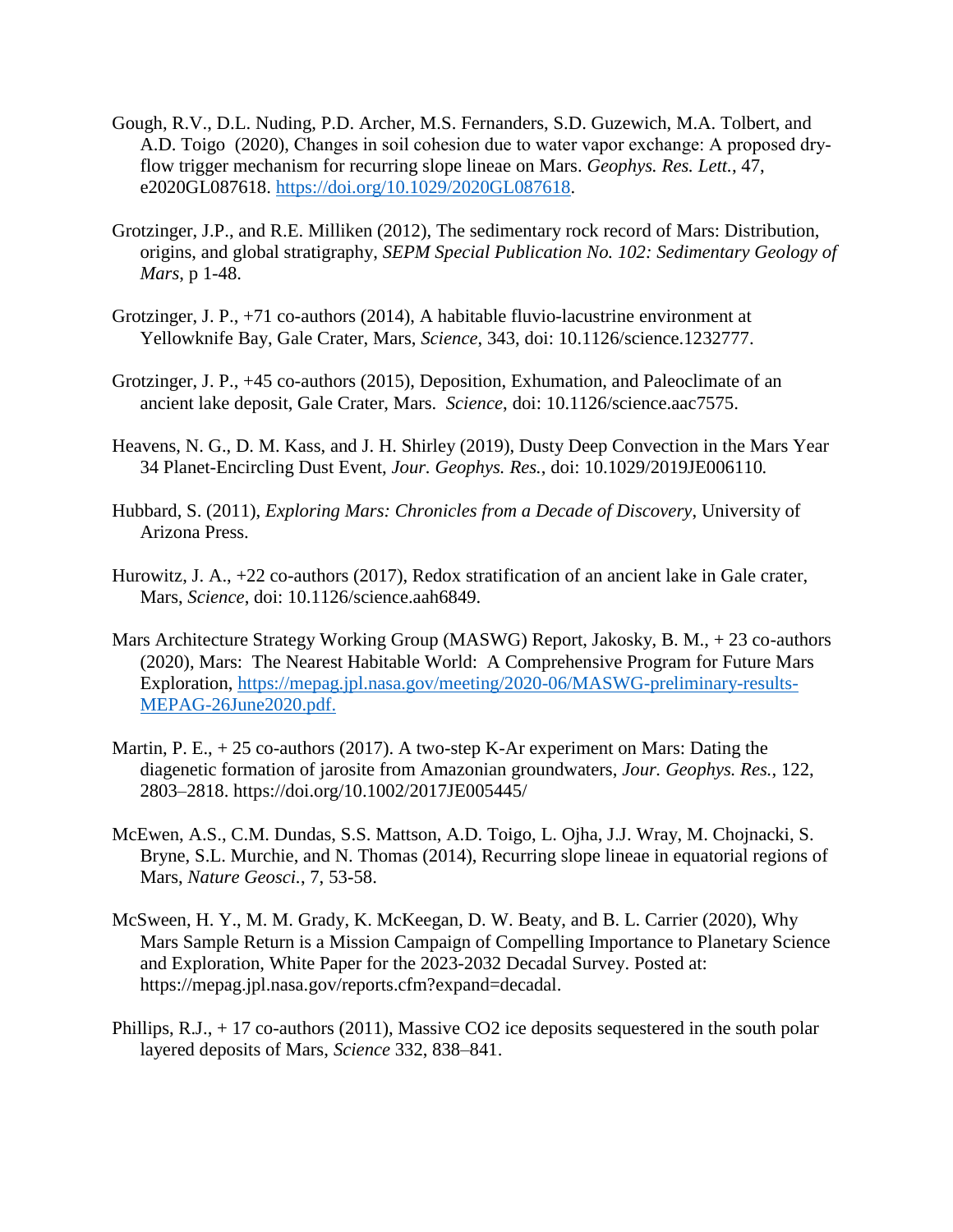- Gough, R.V., D.L. Nuding, P.D. Archer, M.S. Fernanders, S.D. Guzewich, M.A. Tolbert, and A.D. Toigo (2020), Changes in soil cohesion due to water vapor exchange: A proposed dry‐ flow trigger mechanism for recurring slope lineae on Mars. *Geophys. Res. Lett.*, 47, e2020GL087618. [https://doi.org/10.1029/2020GL087618.](https://doi.org/10.1029/2020GL087618)
- Grotzinger, J.P., and R.E. Milliken (2012), The sedimentary rock record of Mars: Distribution, origins, and global stratigraphy, *SEPM Special Publication No. 102: Sedimentary Geology of Mars*, p 1-48.
- Grotzinger, J. P., +71 co-authors (2014), A habitable fluvio-lacustrine environment at Yellowknife Bay, Gale Crater, Mars, *Science*, 343, doi: 10.1126/science.1232777.
- Grotzinger, J. P., +45 co-authors (2015), Deposition, Exhumation, and Paleoclimate of an ancient lake deposit, Gale Crater, Mars. *Science*, doi: 10.1126/science.aac7575.
- Heavens, N. G., D. M. Kass, and J. H. Shirley (2019), Dusty Deep Convection in the Mars Year 34 Planet-Encircling Dust Event, *Jour. Geophys. Res.*, doi: 10.1029/2019JE006110*.*
- Hubbard, S. (2011), *Exploring Mars: Chronicles from a Decade of Discovery*, University of Arizona Press.
- Hurowitz, J. A., +22 co-authors (2017), Redox stratification of an ancient lake in Gale crater, Mars, *Science*, doi: 10.1126/science.aah6849.
- Mars Architecture Strategy Working Group (MASWG) Report, Jakosky, B. M., + 23 co-authors (2020), Mars: The Nearest Habitable World: A Comprehensive Program for Future Mars Exploration, [https://mepag.jpl.nasa.gov/meeting/2020-06/MASWG-preliminary-results-](https://mepag.jpl.nasa.gov/meeting/2020-06/MASWG-preliminary-results-MEPAG-26June2020.pdf)[MEPAG-26June2020.pdf.](https://mepag.jpl.nasa.gov/meeting/2020-06/MASWG-preliminary-results-MEPAG-26June2020.pdf)
- Martin, P. E.,  $+25$  co-authors (2017). A two-step K-Ar experiment on Mars: Dating the diagenetic formation of jarosite from Amazonian groundwaters, *Jour. Geophys. Res.*, 122, 2803–2818. https://doi.org/10.1002/2017JE005445/
- McEwen, A.S., C.M. Dundas, S.S. Mattson, A.D. Toigo, L. Ojha, J.J. Wray, M. Chojnacki, S. Bryne, S.L. Murchie, and N. Thomas (2014), Recurring slope lineae in equatorial regions of Mars, *Nature Geosci.*, 7, 53-58.
- McSween, H. Y., M. M. Grady, K. McKeegan, D. W. Beaty, and B. L. Carrier (2020), Why Mars Sample Return is a Mission Campaign of Compelling Importance to Planetary Science and Exploration, White Paper for the 2023-2032 Decadal Survey. Posted at: https://mepag.jpl.nasa.gov/reports.cfm?expand=decadal.
- Phillips, R.J., + 17 co-authors (2011), Massive CO2 ice deposits sequestered in the south polar layered deposits of Mars, *Science* 332, 838–841.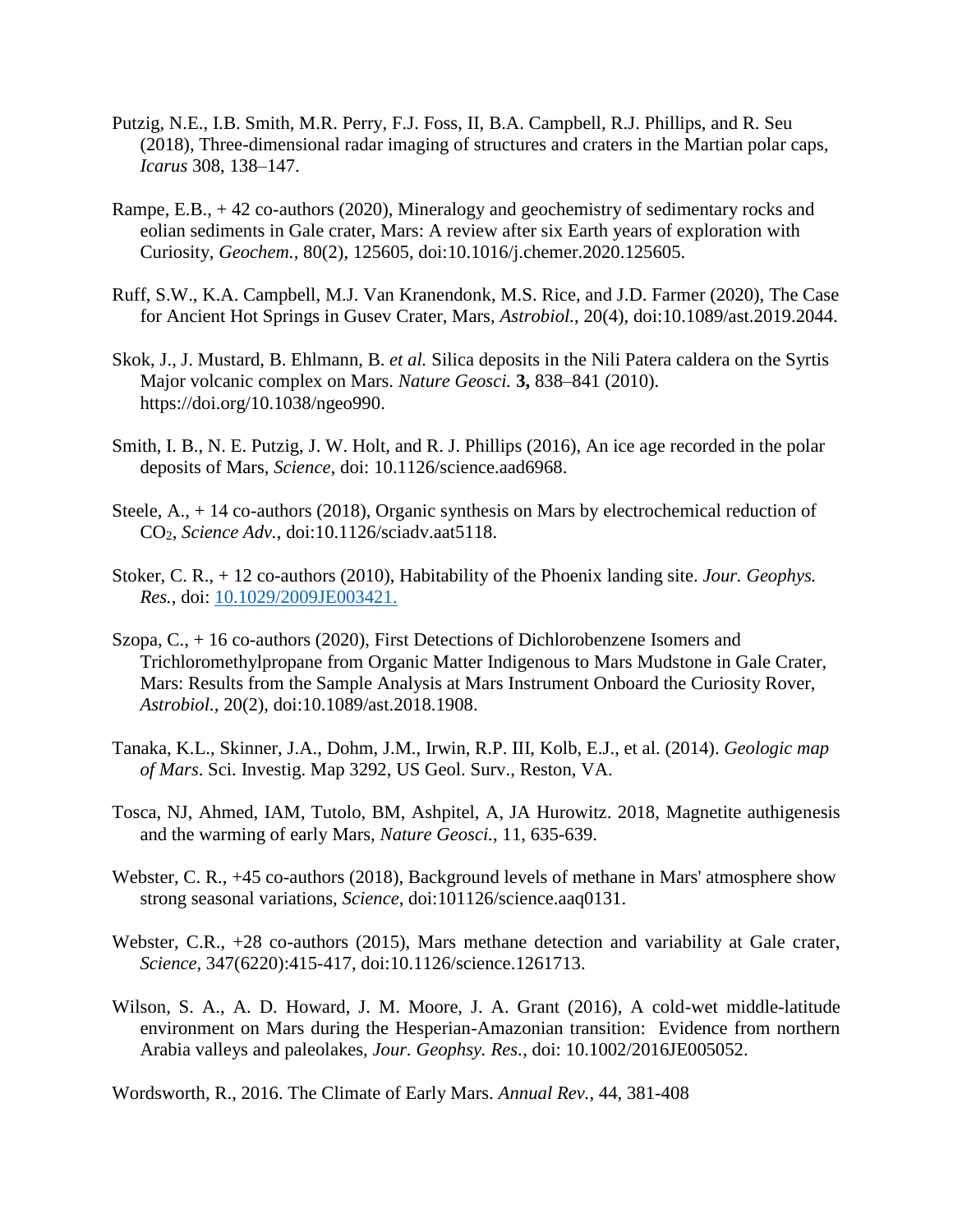- Putzig, N.E., I.B. Smith, M.R. Perry, F.J. Foss, II, B.A. Campbell, R.J. Phillips, and R. Seu (2018), Three-dimensional radar imaging of structures and craters in the Martian polar caps, *Icarus* 308, 138–147.
- Rampe, E.B., + 42 co-authors (2020), Mineralogy and geochemistry of sedimentary rocks and eolian sediments in Gale crater, Mars: A review after six Earth years of exploration with Curiosity, *Geochem.,* 80(2), 125605, doi:10.1016/j.chemer.2020.125605.
- Ruff, S.W., K.A. Campbell, M.J. Van Kranendonk, M.S. Rice, and J.D. Farmer (2020), The Case for Ancient Hot Springs in Gusev Crater, Mars, *Astrobiol.*, 20(4), doi:10.1089/ast.2019.2044.
- Skok, J., J. Mustard, B. Ehlmann, B. *et al.* Silica deposits in the Nili Patera caldera on the Syrtis Major volcanic complex on Mars. *Nature Geosci.* **3,** 838–841 (2010). https://doi.org/10.1038/ngeo990.
- Smith, I. B., N. E. Putzig, J. W. Holt, and R. J. Phillips (2016), An ice age recorded in the polar deposits of Mars, *Science*, doi: 10.1126/science.aad6968.
- Steele, A., + 14 co-authors (2018), Organic synthesis on Mars by electrochemical reduction of CO2, *Science Adv.*, doi:10.1126/sciadv.aat5118.
- Stoker, C. R., + 12 co-authors (2010), Habitability of the Phoenix landing site. *Jour. Geophys. Res.*, doi: [10.1029/2009JE003421.](https://doi.org/10.1029/2009JE003421)
- Szopa, C., + 16 co-authors (2020), First Detections of Dichlorobenzene Isomers and Trichloromethylpropane from Organic Matter Indigenous to Mars Mudstone in Gale Crater, Mars: Results from the Sample Analysis at Mars Instrument Onboard the Curiosity Rover, *Astrobiol.,* 20(2), doi:10.1089/ast.2018.1908.
- Tanaka, K.L., Skinner, J.A., Dohm, J.M., Irwin, R.P. III, Kolb, E.J., et al. (2014). *Geologic map of Mars*. Sci. Investig. Map 3292, US Geol. Surv., Reston, VA.
- Tosca, NJ, Ahmed, IAM, Tutolo, BM, Ashpitel, A, JA Hurowitz. 2018, Magnetite authigenesis and the warming of early Mars, *Nature Geosci.*, 11, 635-639.
- Webster, C. R.,  $+45$  co-authors (2018), Background levels of methane in Mars' atmosphere show strong seasonal variations, *Science*, doi:101126/science.aaq0131.
- Webster, C.R., +28 co-authors (2015), Mars methane detection and variability at Gale crater, *Science*, 347(6220):415-417, doi:10.1126/science.1261713.
- Wilson, S. A., A. D. Howard, J. M. Moore, J. A. Grant (2016), A cold-wet middle-latitude environment on Mars during the Hesperian-Amazonian transition: Evidence from northern Arabia valleys and paleolakes, *Jour. Geophsy. Res.*, doi: 10.1002/2016JE005052.

Wordsworth, R., 2016. The Climate of Early Mars. *Annual Rev.*, 44, 381-408